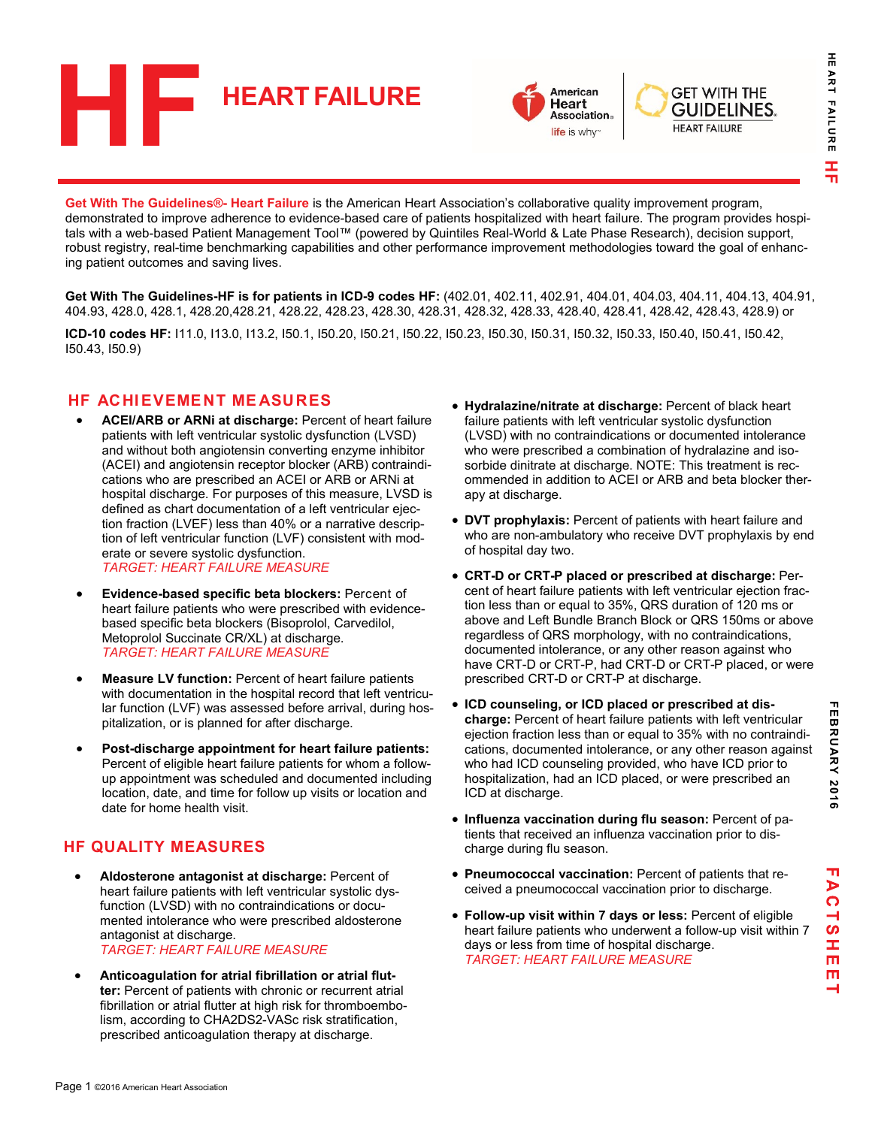



**GET WITH THE GUIDELINES. HEART FAILURE** 

**Get With The Guidelines®- Heart Failure** is the American Heart Association's collaborative quality improvement program, demonstrated to improve adherence to evidence-based care of patients hospitalized with heart failure. The program provides hospitals with a web-based Patient Management Tool™ (powered by Quintiles Real-World & Late Phase Research), decision support, robust registry, real-time benchmarking capabilities and other performance improvement methodologies toward the goal of enhancing patient outcomes and saving lives.

Get With The Guidelines-HF is for patients in ICD-9 codes HF: (402.01, 402.11, 402.91, 404.01, 404.03, 404.11, 404.13, 404.91, 404.93, 428.0, 428.1, 428.20,428.21, 428.22, 428.23, 428.30, 428.31, 428.32, 428.33, 428.40, 428.41, 428.42, 428.43, 428.9) or

**ICD-10 codes HF:** I11.0, I13.0, I13.2, I50.1, I50.20, I50.21, I50.22, I50.23, I50.30, I50.31, I50.32, I50.33, I50.40, I50.41, I50.42, I50.43, I50.9)

### **HF ACHIEVEMENT ME ASURES**

- **ACEI/ARB or ARNi at discharge:** Percent of heart failure patients with left ventricular systolic dysfunction (LVSD) and without both angiotensin converting enzyme inhibitor (ACEI) and angiotensin receptor blocker (ARB) contraindications who are prescribed an ACEI or ARB or ARNi at hospital discharge. For purposes of this measure, LVSD is defined as chart documentation of a left ventricular ejection fraction (LVEF) less than 40% or a narrative description of left ventricular function (LVF) consistent with moderate or severe systolic dysfunction. *TARGET: HEART FAILURE MEASURE*
- **Evidence-based specific beta blockers:** Percent of heart failure patients who were prescribed with evidencebased specific beta blockers (Bisoprolol, Carvedilol, Metoprolol Succinate CR/XL) at discharge. *TARGET: HEART FAILURE MEASURE*
- **Measure LV function:** Percent of heart failure patients with documentation in the hospital record that left ventricular function (LVF) was assessed before arrival, during hospitalization, or is planned for after discharge.
- **Post-discharge appointment for heart failure patients:** Percent of eligible heart failure patients for whom a followup appointment was scheduled and documented including location, date, and time for follow up visits or location and date for home health visit.

### **HF QUALITY MEASURES**

- **Aldosterone antagonist at discharge:** Percent of heart failure patients with left ventricular systolic dysfunction (LVSD) with no contraindications or documented intolerance who were prescribed aldosterone antagonist at discharge. *TARGET: HEART FAILURE MEASURE*
- **Anticoagulation for atrial fibrillation or atrial flutter:** Percent of patients with chronic or recurrent atrial fibrillation or atrial flutter at high risk for thromboembolism, according to CHA2DS2-VASc risk stratification, prescribed anticoagulation therapy at discharge.
- **Hydralazine/nitrate at discharge:** Percent of black heart failure patients with left ventricular systolic dysfunction (LVSD) with no contraindications or documented intolerance who were prescribed a combination of hydralazine and isosorbide dinitrate at discharge. NOTE: This treatment is recommended in addition to ACEI or ARB and beta blocker therapy at discharge.
- **DVT prophylaxis:** Percent of patients with heart failure and who are non-ambulatory who receive DVT prophylaxis by end of hospital day two.
- **CRT-D or CRT-P placed or prescribed at discharge:** Percent of heart failure patients with left ventricular ejection fraction less than or equal to 35%, QRS duration of 120 ms or above and Left Bundle Branch Block or QRS 150ms or above regardless of QRS morphology, with no contraindications, documented intolerance, or any other reason against who have CRT-D or CRT-P, had CRT-D or CRT-P placed, or were prescribed CRT-D or CRT-P at discharge.
- **ICD counseling, or ICD placed or prescribed at discharge:** Percent of heart failure patients with left ventricular ejection fraction less than or equal to 35% with no contraindications, documented intolerance, or any other reason against who had ICD counseling provided, who have ICD prior to hospitalization, had an ICD placed, or were prescribed an ICD at discharge.
- **Influenza vaccination during flu season:** Percent of patients that received an influenza vaccination prior to discharge during flu season.
- **Pneumococcal vaccination:** Percent of patients that received a pneumococcal vaccination prior to discharge.
- **Follow-up visit within 7 days or less:** Percent of eligible heart failure patients who underwent a follow-up visit within 7 days or less from time of hospital discharge. *TARGET: HEART FAILURE MEASURE*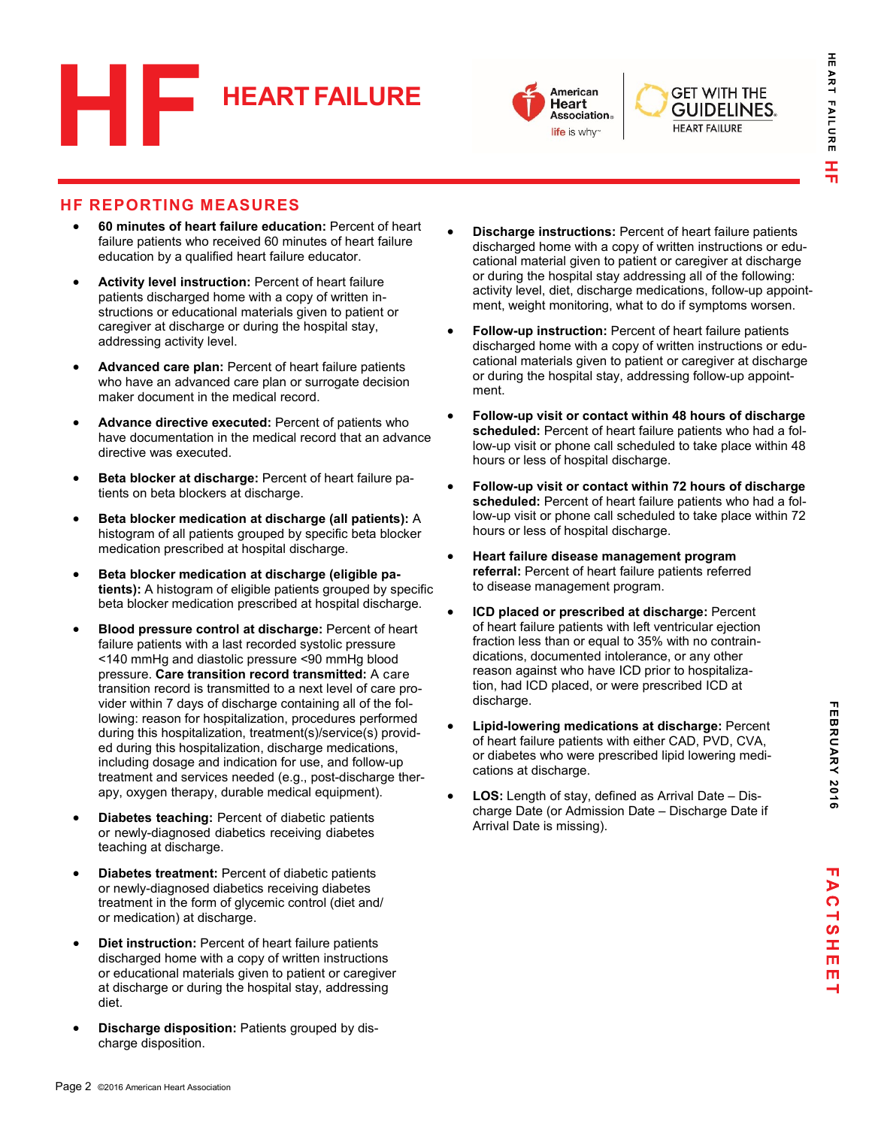



**GET WITH THE GUIDELINES. HEART FAILURE** 

### **HF REPORTING MEASURES**

- **60 minutes of heart failure education:** Percent of heart failure patients who received 60 minutes of heart failure education by a qualified heart failure educator.
- **Activity level instruction:** Percent of heart failure patients discharged home with a copy of written instructions or educational materials given to patient or caregiver at discharge or during the hospital stay, addressing activity level.
- **Advanced care plan:** Percent of heart failure patients who have an advanced care plan or surrogate decision maker document in the medical record.
- **Advance directive executed:** Percent of patients who have documentation in the medical record that an advance directive was executed.
- **Beta blocker at discharge:** Percent of heart failure patients on beta blockers at discharge.
- **Beta blocker medication at discharge (all patients):** A histogram of all patients grouped by specific beta blocker medication prescribed at hospital discharge.
- **Beta blocker medication at discharge (eligible patients):** A histogram of eligible patients grouped by specific beta blocker medication prescribed at hospital discharge.
- **Blood pressure control at discharge:** Percent of heart failure patients with a last recorded systolic pressure <140 mmHg and diastolic pressure <90 mmHg blood pressure. **Care transition record transmitted:** A care transition record is transmitted to a next level of care provider within 7 days of discharge containing all of the following: reason for hospitalization, procedures performed during this hospitalization, treatment(s)/service(s) provided during this hospitalization, discharge medications, including dosage and indication for use, and follow-up treatment and services needed (e.g., post-discharge therapy, oxygen therapy, durable medical equipment).
- **Diabetes teaching:** Percent of diabetic patients or newly-diagnosed diabetics receiving diabetes teaching at discharge.
- **Diabetes treatment:** Percent of diabetic patients or newly-diagnosed diabetics receiving diabetes treatment in the form of glycemic control (diet and/ or medication) at discharge.
- **Diet instruction:** Percent of heart failure patients discharged home with a copy of written instructions or educational materials given to patient or caregiver at discharge or during the hospital stay, addressing diet.
- **Discharge disposition:** Patients grouped by discharge disposition.
- **Discharge instructions:** Percent of heart failure patients discharged home with a copy of written instructions or educational material given to patient or caregiver at discharge or during the hospital stay addressing all of the following: activity level, diet, discharge medications, follow-up appointment, weight monitoring, what to do if symptoms worsen.
- **Follow-up instruction:** Percent of heart failure patients discharged home with a copy of written instructions or educational materials given to patient or caregiver at discharge or during the hospital stay, addressing follow-up appointment.
- **Follow-up visit or contact within 48 hours of discharge scheduled:** Percent of heart failure patients who had a follow-up visit or phone call scheduled to take place within 48 hours or less of hospital discharge.
- **Follow-up visit or contact within 72 hours of discharge scheduled:** Percent of heart failure patients who had a follow-up visit or phone call scheduled to take place within 72 hours or less of hospital discharge.
- **Heart failure disease management program referral:** Percent of heart failure patients referred to disease management program.
- **ICD placed or prescribed at discharge:** Percent of heart failure patients with left ventricular ejection fraction less than or equal to 35% with no contraindications, documented intolerance, or any other reason against who have ICD prior to hospitalization, had ICD placed, or were prescribed ICD at discharge.
- **Lipid-lowering medications at discharge:** Percent of heart failure patients with either CAD, PVD, CVA, or diabetes who were prescribed lipid lowering medications at discharge.
- **LOS:** Length of stay, defined as Arrival Date Discharge Date (or Admission Date – Discharge Date if Arrival Date is missing).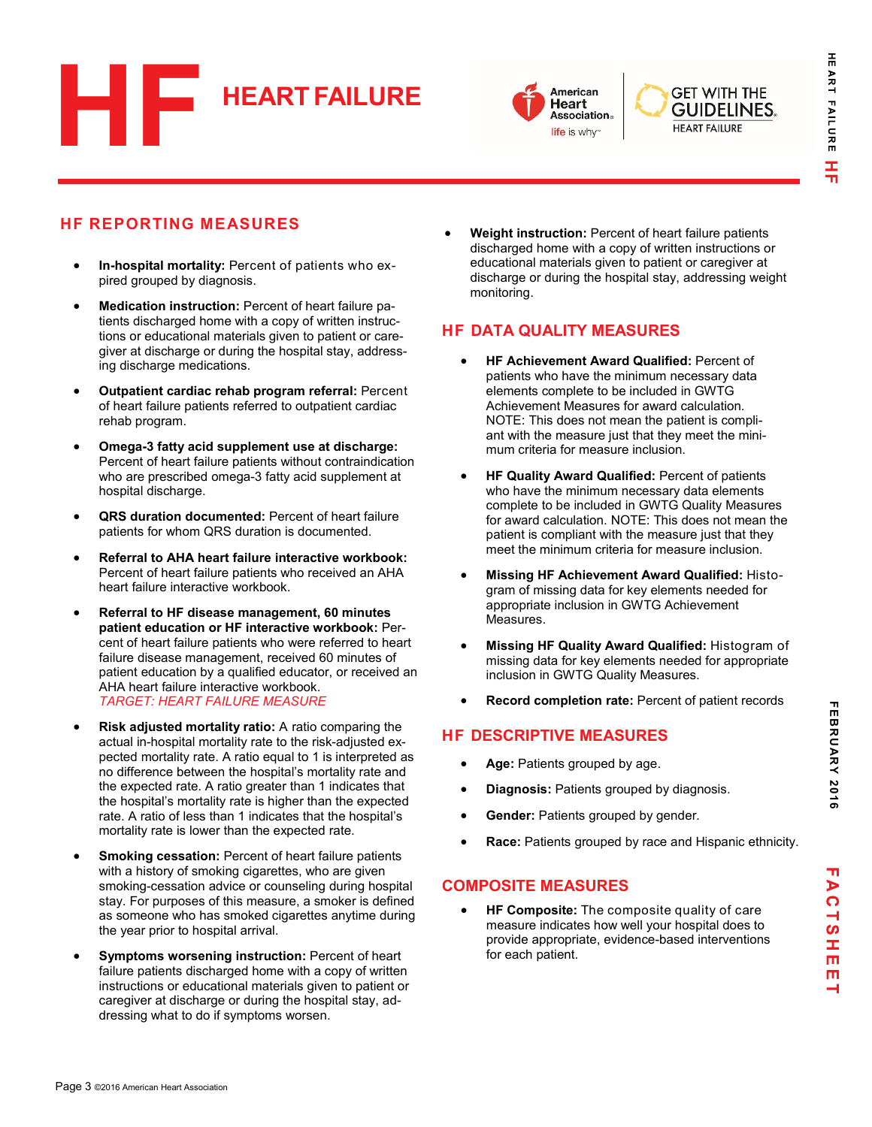



**GET WITH THE GUIDELINES. HEART FAILURE** 

# **HF REPORTING MEASURES**

- **In-hospital mortality:** Percent of patients who expired grouped by diagnosis.
- **Medication instruction:** Percent of heart failure patients discharged home with a copy of written instructions or educational materials given to patient or caregiver at discharge or during the hospital stay, addressing discharge medications.
- **Outpatient cardiac rehab program referral:** Percent of heart failure patients referred to outpatient cardiac rehab program.
- **Omega-3 fatty acid supplement use at discharge:** Percent of heart failure patients without contraindication who are prescribed omega-3 fatty acid supplement at hospital discharge.
- **QRS duration documented:** Percent of heart failure patients for whom QRS duration is documented.
- **Referral to AHA heart failure interactive workbook:** Percent of heart failure patients who received an AHA heart failure interactive workbook.
- **Referral to HF disease management, 60 minutes patient education or HF interactive workbook:** Percent of heart failure patients who were referred to heart failure disease management, received 60 minutes of patient education by a qualified educator, or received an AHA heart failure interactive workbook. *TARGET: HEART FAILURE MEASURE*
- **Risk adjusted mortality ratio:** A ratio comparing the actual in-hospital mortality rate to the risk-adjusted expected mortality rate. A ratio equal to 1 is interpreted as no difference between the hospital's mortality rate and the expected rate. A ratio greater than 1 indicates that the hospital's mortality rate is higher than the expected rate. A ratio of less than 1 indicates that the hospital's mortality rate is lower than the expected rate.
- **Smoking cessation:** Percent of heart failure patients with a history of smoking cigarettes, who are given smoking-cessation advice or counseling during hospital stay. For purposes of this measure, a smoker is defined as someone who has smoked cigarettes anytime during the year prior to hospital arrival.
- **Symptoms worsening instruction:** Percent of heart failure patients discharged home with a copy of written instructions or educational materials given to patient or caregiver at discharge or during the hospital stay, addressing what to do if symptoms worsen.

 **Weight instruction:** Percent of heart failure patients discharged home with a copy of written instructions or educational materials given to patient or caregiver at discharge or during the hospital stay, addressing weight monitoring.

## **HF DATA QUALITY MEASURES**

- **HF Achievement Award Qualified:** Percent of patients who have the minimum necessary data elements complete to be included in GWTG Achievement Measures for award calculation. NOTE: This does not mean the patient is compliant with the measure just that they meet the minimum criteria for measure inclusion.
- **HF Quality Award Qualified:** Percent of patients who have the minimum necessary data elements complete to be included in GWTG Quality Measures for award calculation. NOTE: This does not mean the patient is compliant with the measure just that they meet the minimum criteria for measure inclusion.
- **Missing HF Achievement Award Qualified:** Histogram of missing data for key elements needed for appropriate inclusion in GWTG Achievement Measures.
- **Missing HF Quality Award Qualified:** Histogram of missing data for key elements needed for appropriate inclusion in GWTG Quality Measures.
- **Record completion rate:** Percent of patient records

## **HF DESCRIPTIVE MEASURES**

- **Age:** Patients grouped by age.
- **Diagnosis:** Patients grouped by diagnosis.
- **Gender:** Patients grouped by gender.
- **Race:** Patients grouped by race and Hispanic ethnicity.

### **COMPOSITE MEASURES**

 **HF Composite:** The composite quality of care measure indicates how well your hospital does to provide appropriate, evidence-based interventions for each patient.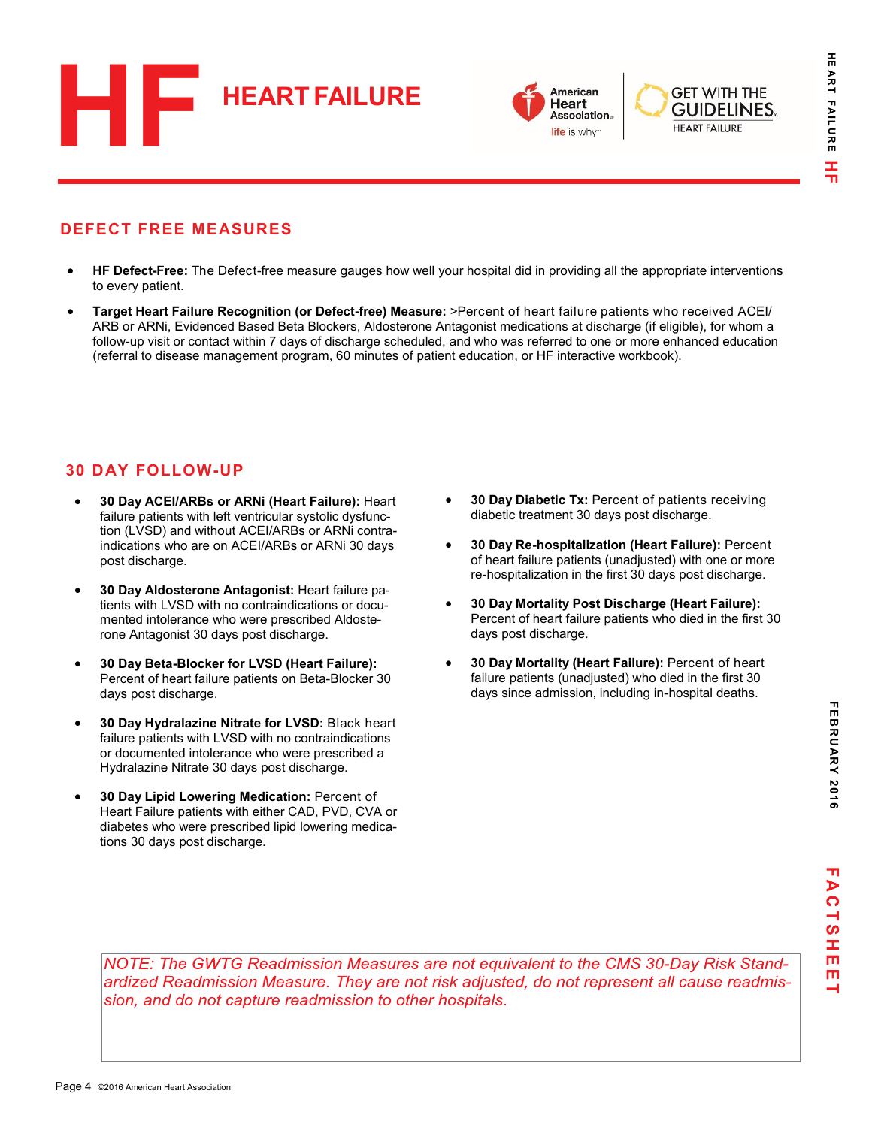



## **DEFECT FREE MEASURES**

- **HF Defect-Free:** The Defect-free measure gauges how well your hospital did in providing all the appropriate interventions to every patient.
- **Target Heart Failure Recognition (or Defect-free) Measure:** >Percent of heart failure patients who received ACEI/ ARB or ARNi, Evidenced Based Beta Blockers, Aldosterone Antagonist medications at discharge (if eligible), for whom a follow-up visit or contact within 7 days of discharge scheduled, and who was referred to one or more enhanced education (referral to disease management program, 60 minutes of patient education, or HF interactive workbook).

## **30 DAY FOLLOW-UP**

- **30 Day ACEI/ARBs or ARNi (Heart Failure):** Heart failure patients with left ventricular systolic dysfunction (LVSD) and without ACEI/ARBs or ARNi contraindications who are on ACEI/ARBs or ARNi 30 days post discharge.
- **30 Day Aldosterone Antagonist:** Heart failure patients with LVSD with no contraindications or documented intolerance who were prescribed Aldosterone Antagonist 30 days post discharge.
- **30 Day Beta-Blocker for LVSD (Heart Failure):** Percent of heart failure patients on Beta-Blocker 30 days post discharge.
- **30 Day Hydralazine Nitrate for LVSD:** Black heart failure patients with LVSD with no contraindications or documented intolerance who were prescribed a Hydralazine Nitrate 30 days post discharge.
- **30 Day Lipid Lowering Medication:** Percent of Heart Failure patients with either CAD, PVD, CVA or diabetes who were prescribed lipid lowering medications 30 days post discharge.
- **30 Day Diabetic Tx:** Percent of patients receiving diabetic treatment 30 days post discharge.
- **30 Day Re-hospitalization (Heart Failure):** Percent of heart failure patients (unadjusted) with one or more re-hospitalization in the first 30 days post discharge.
- **30 Day Mortality Post Discharge (Heart Failure):**  Percent of heart failure patients who died in the first 30 days post discharge.
- **30 Day Mortality (Heart Failure):** Percent of heart failure patients (unadjusted) who died in the first 30 days since admission, including in-hospital deaths.

FEBRUARY 2016 **FEBRUARY 2016**

NOTE: The GWTG Readmission Measures are not equivalent to the CMS 30-Day Risk Standardized Readmission Measure. They are not risk adjusted, do not represent all cause readmission, and do not capture readmission to other hospitals.